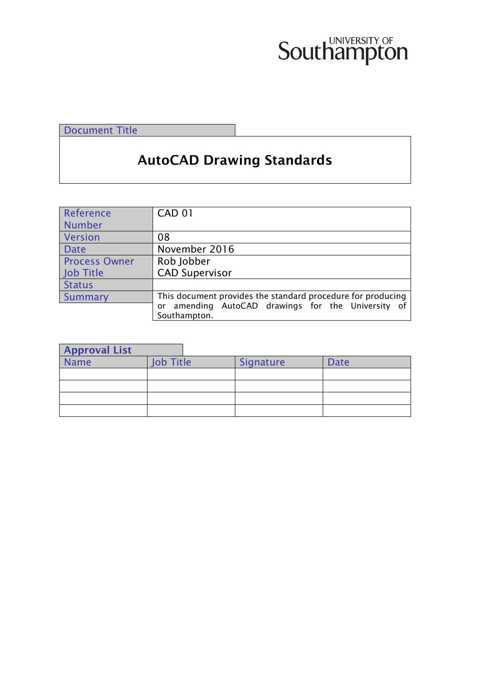# **Southampton**

Document Title

## AutoCAD Drawing Standards

| Reference            | <b>CAD 01</b>                                                         |
|----------------------|-----------------------------------------------------------------------|
| Number               |                                                                       |
| Version              | 08                                                                    |
| <b>Date</b>          | November 2016                                                         |
| <b>Process Owner</b> | Rob Jobber                                                            |
| Job Title            | <b>CAD Supervisor</b>                                                 |
| <b>Status</b>        |                                                                       |
| Summary              | This document provides the standard procedure for producing           |
|                      | amending AutoCAD drawings for the University of<br>or<br>Southampton. |
|                      |                                                                       |

| <b>Approval List</b> |                  |           |      |
|----------------------|------------------|-----------|------|
| Name                 | <b>Job Title</b> | Signature | Date |
|                      |                  |           |      |
|                      |                  |           |      |
|                      |                  |           |      |
|                      |                  |           |      |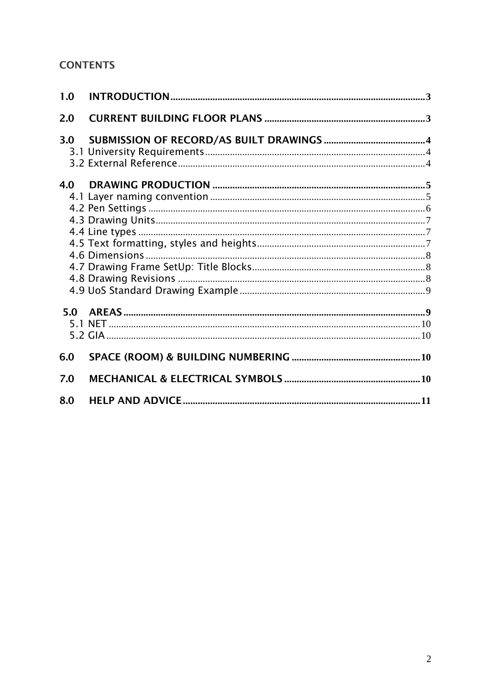## **CONTENTS**

| 1.0 |  |
|-----|--|
| 2.0 |  |
| 3.0 |  |
| 4.0 |  |
|     |  |
| 5.0 |  |
| 6.0 |  |
| 7.0 |  |
| 8.0 |  |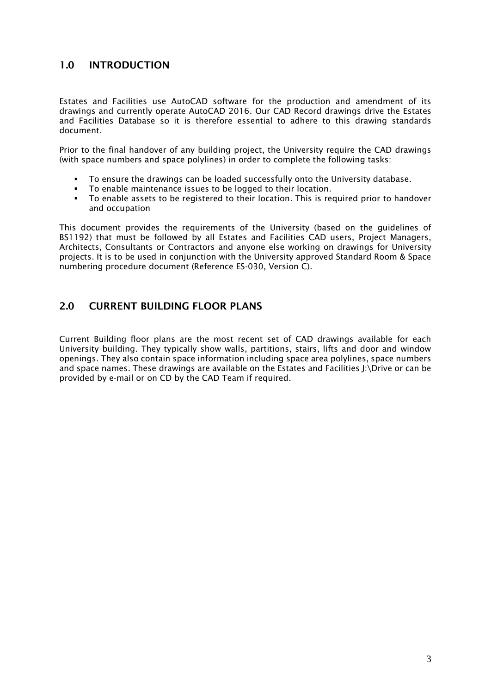## <span id="page-2-0"></span>1.0 INTRODUCTION

Estates and Facilities use AutoCAD software for the production and amendment of its drawings and currently operate AutoCAD 2016. Our CAD Record drawings drive the Estates and Facilities Database so it is therefore essential to adhere to this drawing standards document.

Prior to the final handover of any building project, the University require the CAD drawings (with space numbers and space polylines) in order to complete the following tasks:

- To ensure the drawings can be loaded successfully onto the University database.
- To enable maintenance issues to be logged to their location.
- To enable assets to be registered to their location. This is required prior to handover and occupation

This document provides the requirements of the University (based on the guidelines of BS1192) that must be followed by all Estates and Facilities CAD users, Project Managers, Architects, Consultants or Contractors and anyone else working on drawings for University projects. It is to be used in conjunction with the University approved Standard Room & Space numbering procedure document (Reference ES-030, Version C).

## <span id="page-2-1"></span>2.0 CURRENT BUILDING FLOOR PLANS

Current Building floor plans are the most recent set of CAD drawings available for each University building. They typically show walls, partitions, stairs, lifts and door and window openings. They also contain space information including space area polylines, space numbers and space names. These drawings are available on the Estates and Facilities J:\Drive or can be provided by e-mail or on CD by the CAD Team if required.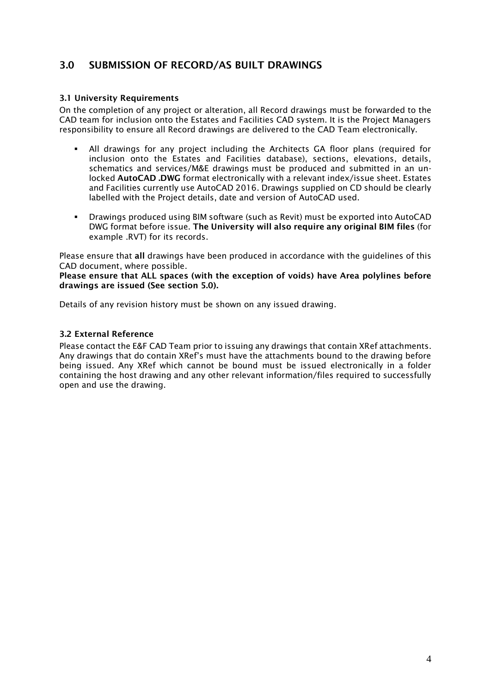## <span id="page-3-0"></span>3.0 SUBMISSION OF RECORD/AS BUILT DRAWINGS

#### <span id="page-3-1"></span>3.1 University Requirements

On the completion of any project or alteration, all Record drawings must be forwarded to the CAD team for inclusion onto the Estates and Facilities CAD system. It is the Project Managers responsibility to ensure all Record drawings are delivered to the CAD Team electronically.

- All drawings for any project including the Architects GA floor plans (required for inclusion onto the Estates and Facilities database), sections, elevations, details, schematics and services/M&E drawings must be produced and submitted in an unlocked AutoCAD .DWG format electronically with a relevant index/issue sheet. Estates and Facilities currently use AutoCAD 2016. Drawings supplied on CD should be clearly labelled with the Project details, date and version of AutoCAD used.
- Drawings produced using BIM software (such as Revit) must be exported into AutoCAD DWG format before issue. The University will also require any original BIM files (for example .RVT) for its records.

Please ensure that all drawings have been produced in accordance with the guidelines of this CAD document, where possible.

Please ensure that ALL spaces (with the exception of voids) have Area polylines before drawings are issued (See section 5.0).

Details of any revision history must be shown on any issued drawing.

#### <span id="page-3-2"></span>3.2 External Reference

Please contact the E&F CAD Team prior to issuing any drawings that contain XRef attachments. Any drawings that do contain XRef's must have the attachments bound to the drawing before being issued. Any XRef which cannot be bound must be issued electronically in a folder containing the host drawing and any other relevant information/files required to successfully open and use the drawing.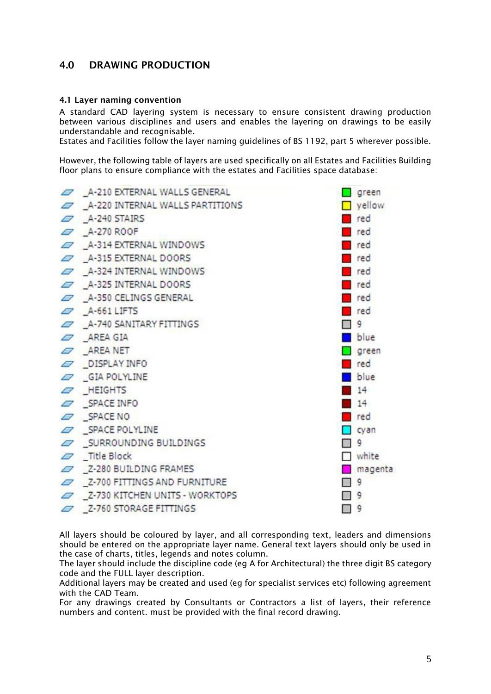## <span id="page-4-0"></span>4.0 DRAWING PRODUCTION

#### <span id="page-4-1"></span>4.1 Layer naming convention

A standard CAD layering system is necessary to ensure consistent drawing production between various disciplines and users and enables the layering on drawings to be easily understandable and recognisable.

Estates and Facilities follow the layer naming guidelines of BS 1192, part 5 wherever possible.

However, the following table of layers are used specifically on all Estates and Facilities Building floor plans to ensure compliance with the estates and Facilities space database:



All layers should be coloured by layer, and all corresponding text, leaders and dimensions should be entered on the appropriate layer name. General text layers should only be used in the case of charts, titles, legends and notes column.

The layer should include the discipline code (eg A for Architectural) the three digit BS category code and the FULL layer description.

Additional layers may be created and used (eg for specialist services etc) following agreement with the CAD Team

For any drawings created by Consultants or Contractors a list of layers, their reference numbers and content. must be provided with the final record drawing.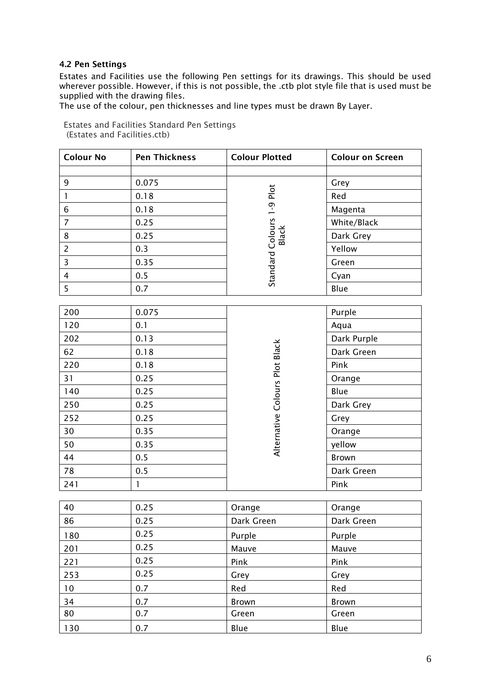#### <span id="page-5-0"></span>4.2 Pen Settings

Estates and Facilities use the following Pen settings for its drawings. This should be used wherever possible. However, if this is not possible, the .ctb plot style file that is used must be supplied with the drawing files.

The use of the colour, pen thicknesses and line types must be drawn By Layer.

Estates and Facilities Standard Pen Settings (Estates and Facilities.ctb)

| <b>Colour No</b>        | <b>Pen Thickness</b> | <b>Colour Plotted</b>          | <b>Colour on Screen</b> |
|-------------------------|----------------------|--------------------------------|-------------------------|
|                         |                      |                                |                         |
| 9                       | 0.075                |                                | Grey                    |
| $\mathbf{I}$            | 0.18                 |                                | Red                     |
| 6                       | 0.18                 |                                | Magenta                 |
| $\overline{7}$          | 0.25                 |                                | White/Black             |
| $\bf 8$                 | 0.25                 | Black                          | Dark Grey               |
| $\overline{2}$          | 0.3                  | Standard Colours 1-9 Plot      | Yellow                  |
| $\overline{\mathbf{3}}$ | 0.35                 |                                | Green                   |
| $\overline{\mathbf{4}}$ | 0.5                  |                                | Cyan                    |
| 5                       | 0.7                  |                                | Blue                    |
|                         |                      |                                |                         |
| 200                     | 0.075                |                                | Purple                  |
| 120                     | 0.1                  |                                | Aqua                    |
| 202                     | 0.13                 |                                | Dark Purple             |
| 62                      | 0.18                 |                                | Dark Green              |
| 220                     | 0.18                 |                                | Pink                    |
| 31                      | 0.25                 |                                | Orange                  |
| 140                     | 0.25                 |                                | Blue                    |
| 250                     | 0.25                 | Alternative Colours Plot Black | Dark Grey               |
| 252                     | 0.25                 |                                | Grey                    |
| 30                      | 0.35                 |                                | Orange                  |
| 50                      | 0.35                 |                                | yellow                  |
| 44                      | 0.5                  |                                | <b>Brown</b>            |
| 78                      | 0.5                  |                                | Dark Green              |
| 241                     | $\mathbf{1}$         |                                | Pink                    |
| 40                      | 0.25                 |                                |                         |
| 86                      | 0.25                 | Orange                         | Orange<br>Dark Green    |
|                         | 0.25                 | Dark Green                     |                         |
| 180                     | 0.25                 | Purple                         | Purple                  |
| 201                     |                      | Mauve                          | Mauve                   |
| 221                     | 0.25                 | Pink                           | Pink                    |
| 253                     | 0.25                 | Grey                           | Grey                    |
| 10                      | 0.7                  | Red                            | Red                     |
| 34                      | 0.7                  | Brown                          | <b>Brown</b>            |
| 80                      | 0.7                  | Green                          | Green                   |
| 130                     | 0.7                  | Blue                           | Blue                    |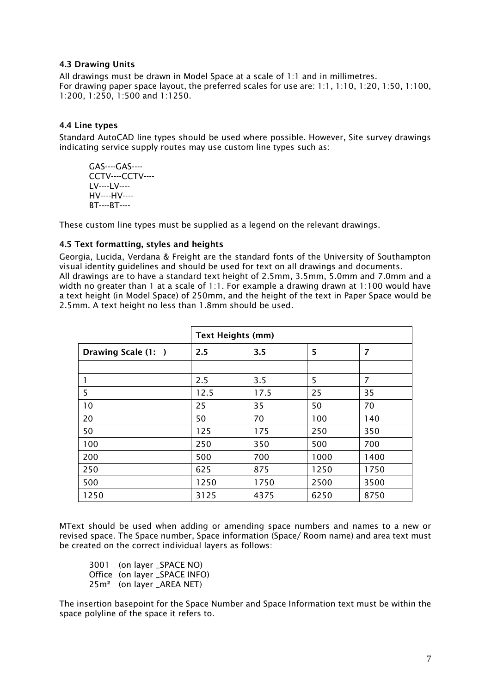#### <span id="page-6-0"></span>4.3 Drawing Units

All drawings must be drawn in Model Space at a scale of 1:1 and in millimetres. For drawing paper space layout, the preferred scales for use are: 1:1, 1:10, 1:20, 1:50, 1:100, 1:200, 1:250, 1:500 and 1:1250.

#### <span id="page-6-1"></span>4.4 Line types

Standard AutoCAD line types should be used where possible. However, Site survey drawings indicating service supply routes may use custom line types such as:

GAS----GAS---- CCTV----CCTV---- LV----LV---- HV----HV---- BT----BT----

<span id="page-6-2"></span>These custom line types must be supplied as a legend on the relevant drawings.

#### 4.5 Text formatting, styles and heights

Georgia, Lucida, Verdana & Freight are the standard fonts of the University of Southampton visual identity guidelines and should be used for text on all drawings and documents. All drawings are to have a standard text height of 2.5mm, 3.5mm, 5.0mm and 7.0mm and a width no greater than 1 at a scale of 1:1. For example a drawing drawn at 1:100 would have a text height (in Model Space) of 250mm, and the height of the text in Paper Space would be 2.5mm. A text height no less than 1.8mm should be used.

|                     | <b>Text Heights (mm)</b> |      |      |                |
|---------------------|--------------------------|------|------|----------------|
| Drawing Scale (1: ) | 2.5                      | 3.5  | 5    | $\overline{7}$ |
|                     |                          |      |      |                |
|                     | 2.5                      | 3.5  | 5    | 7              |
| 5                   | 12.5                     | 17.5 | 25   | 35             |
| 10                  | 25                       | 35   | 50   | 70             |
| 20                  | 50                       | 70   | 100  | 140            |
| 50                  | 125                      | 175  | 250  | 350            |
| 100                 | 250                      | 350  | 500  | 700            |
| 200                 | 500                      | 700  | 1000 | 1400           |
| 250                 | 625                      | 875  | 1250 | 1750           |
| 500                 | 1250                     | 1750 | 2500 | 3500           |
| 1250                | 3125                     | 4375 | 6250 | 8750           |

MText should be used when adding or amending space numbers and names to a new or revised space. The Space number, Space information (Space/ Room name) and area text must be created on the correct individual layers as follows:

| 3001 (on layer _SPACE NO)             |
|---------------------------------------|
| Office (on layer _SPACE INFO)         |
| 25m <sup>2</sup> (on layer _AREA NET) |

The insertion basepoint for the Space Number and Space Information text must be within the space polyline of the space it refers to.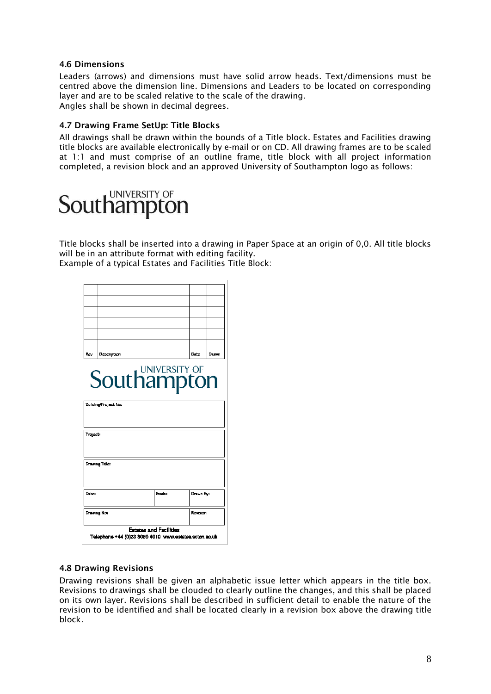#### <span id="page-7-0"></span>4.6 Dimensions

Leaders (arrows) and dimensions must have solid arrow heads. Text/dimensions must be centred above the dimension line. Dimensions and Leaders to be located on corresponding layer and are to be scaled relative to the scale of the drawing. Angles shall be shown in decimal degrees.

#### <span id="page-7-1"></span>4.7 Drawing Frame SetUp: Title Blocks

All drawings shall be drawn within the bounds of a Title block. Estates and Facilities drawing title blocks are available electronically by e-mail or on CD. All drawing frames are to be scaled at 1:1 and must comprise of an outline frame, title block with all project information completed, a revision block and an approved University of Southampton logo as follows:

## **Southampton**

Title blocks shall be inserted into a drawing in Paper Space at an origin of 0,0. All title blocks will be in an attribute format with editing facility. Example of a typical Estates and Facilities Title Block:

| Rον      | Description          |                    | Date:     | Drawn |
|----------|----------------------|--------------------|-----------|-------|
|          |                      | <b>Southampton</b> |           |       |
|          | Building/Project No: |                    |           |       |
| Project: | Drawing Title:       |                    |           |       |
| Date:    |                      | Scale:             | Drawn By: |       |

#### <span id="page-7-2"></span>4.8 Drawing Revisions

Drawing revisions shall be given an alphabetic issue letter which appears in the title box. Revisions to drawings shall be clouded to clearly outline the changes, and this shall be placed on its own layer. Revisions shall be described in sufficient detail to enable the nature of the revision to be identified and shall be located clearly in a revision box above the drawing title block.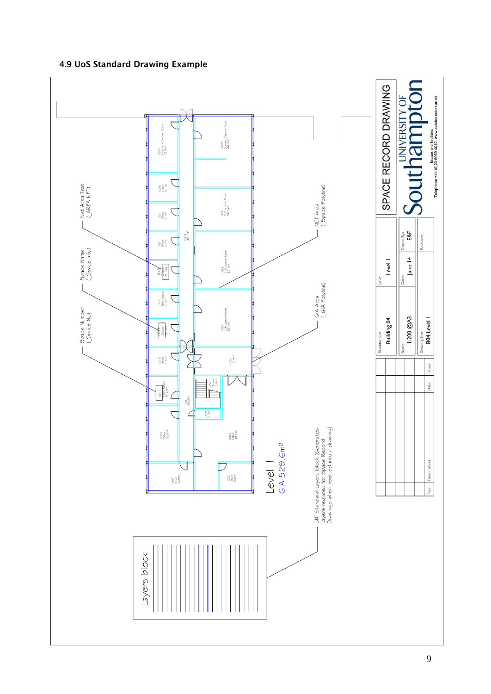<span id="page-8-1"></span>

### <span id="page-8-0"></span>4.9 UoS Standard Drawing Example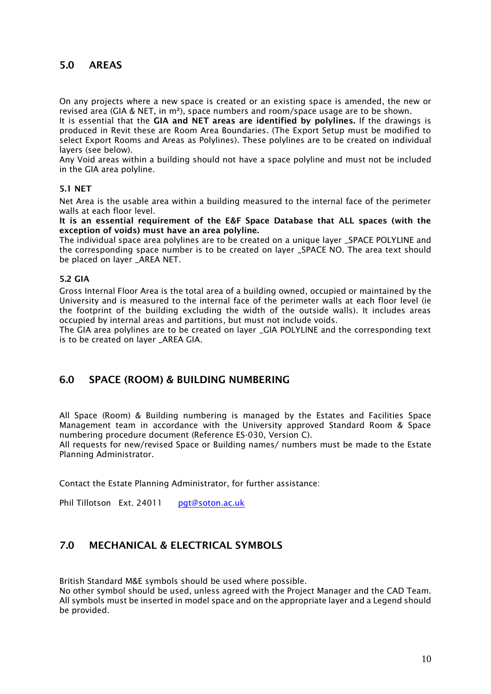## 5.0 AREAS

On any projects where a new space is created or an existing space is amended, the new or revised area (GIA & NET, in m²), space numbers and room/space usage are to be shown.

It is essential that the GIA and NET areas are identified by polylines. If the drawings is produced in Revit these are Room Area Boundaries. (The Export Setup must be modified to select Export Rooms and Areas as Polylines). These polylines are to be created on individual layers (see below).

Any Void areas within a building should not have a space polyline and must not be included in the GIA area polyline.

#### <span id="page-9-0"></span>5.1 NET

Net Area is the usable area within a building measured to the internal face of the perimeter walls at each floor level.

It is an essential requirement of the E&F Space Database that ALL spaces (with the exception of voids) must have an area polyline.

The individual space area polylines are to be created on a unique layer \_SPACE POLYLINE and the corresponding space number is to be created on layer \_SPACE NO. The area text should be placed on layer \_AREA NET.

#### <span id="page-9-1"></span>5.2 GIA

Gross Internal Floor Area is the total area of a building owned, occupied or maintained by the University and is measured to the internal face of the perimeter walls at each floor level (ie the footprint of the building excluding the width of the outside walls). It includes areas occupied by internal areas and partitions, but must not include voids.

The GIA area polylines are to be created on layer \_GIA POLYLINE and the corresponding text is to be created on laver AREA GIA.

#### <span id="page-9-2"></span>6.0 SPACE (ROOM) & BUILDING NUMBERING

All Space (Room) & Building numbering is managed by the Estates and Facilities Space Management team in accordance with the University approved Standard Room & Space numbering procedure document (Reference ES-030, Version C).

All requests for new/revised Space or Building names/ numbers must be made to the Estate Planning Administrator.

Contact the Estate Planning Administrator, for further assistance:

Phil Tillotson Ext. 24011 [pgt@soton.ac.uk](mailto:pgt@soton.ac.uk)

### <span id="page-9-3"></span>7.0 MECHANICAL & ELECTRICAL SYMBOLS

British Standard M&E symbols should be used where possible.

No other symbol should be used, unless agreed with the Project Manager and the CAD Team. All symbols must be inserted in model space and on the appropriate layer and a Legend should be provided.